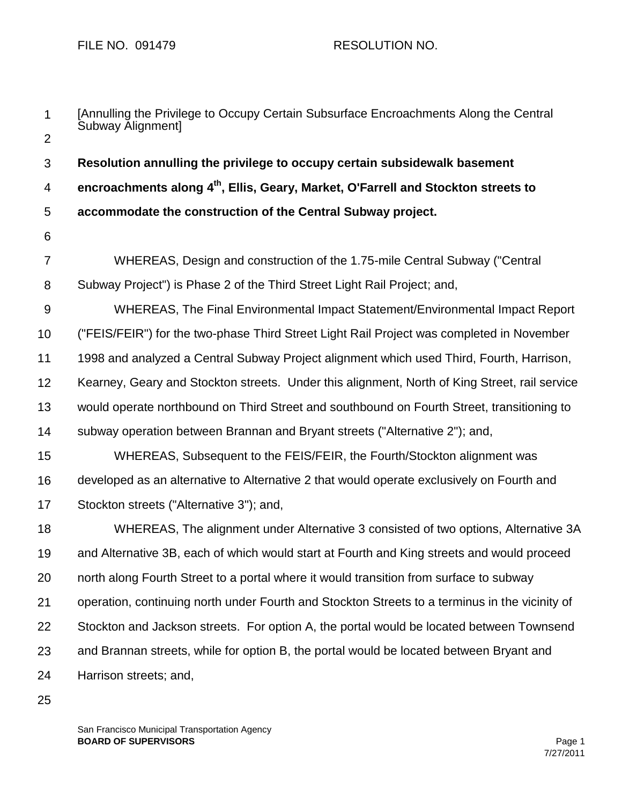| $\mathbf 1$    | [Annulling the Privilege to Occupy Certain Subsurface Encroachments Along the Central<br>Subway Alignment] |
|----------------|------------------------------------------------------------------------------------------------------------|
| $\overline{2}$ |                                                                                                            |
| 3              | Resolution annulling the privilege to occupy certain subsidewalk basement                                  |
| 4              | encroachments along 4 <sup>th</sup> , Ellis, Geary, Market, O'Farrell and Stockton streets to              |
| 5              | accommodate the construction of the Central Subway project.                                                |
| 6              |                                                                                                            |
| $\overline{7}$ | WHEREAS, Design and construction of the 1.75-mile Central Subway ("Central                                 |
| 8              | Subway Project") is Phase 2 of the Third Street Light Rail Project; and,                                   |
| $9\,$          | WHEREAS, The Final Environmental Impact Statement/Environmental Impact Report                              |
| 10             | ("FEIS/FEIR") for the two-phase Third Street Light Rail Project was completed in November                  |
| 11             | 1998 and analyzed a Central Subway Project alignment which used Third, Fourth, Harrison,                   |
| 12             | Kearney, Geary and Stockton streets. Under this alignment, North of King Street, rail service              |
| 13             | would operate northbound on Third Street and southbound on Fourth Street, transitioning to                 |
| 14             | subway operation between Brannan and Bryant streets ("Alternative 2"); and,                                |
| 15             | WHEREAS, Subsequent to the FEIS/FEIR, the Fourth/Stockton alignment was                                    |
| 16             | developed as an alternative to Alternative 2 that would operate exclusively on Fourth and                  |
| 17             | Stockton streets ("Alternative 3"); and,                                                                   |
| 18             | WHEREAS, The alignment under Alternative 3 consisted of two options, Alternative 3A                        |
| 19             | and Alternative 3B, each of which would start at Fourth and King streets and would proceed                 |
| 20             | north along Fourth Street to a portal where it would transition from surface to subway                     |
| 21             | operation, continuing north under Fourth and Stockton Streets to a terminus in the vicinity of             |
| 22             | Stockton and Jackson streets. For option A, the portal would be located between Townsend                   |
| 23             | and Brannan streets, while for option B, the portal would be located between Bryant and                    |
| 24             | Harrison streets; and,                                                                                     |
|                |                                                                                                            |

25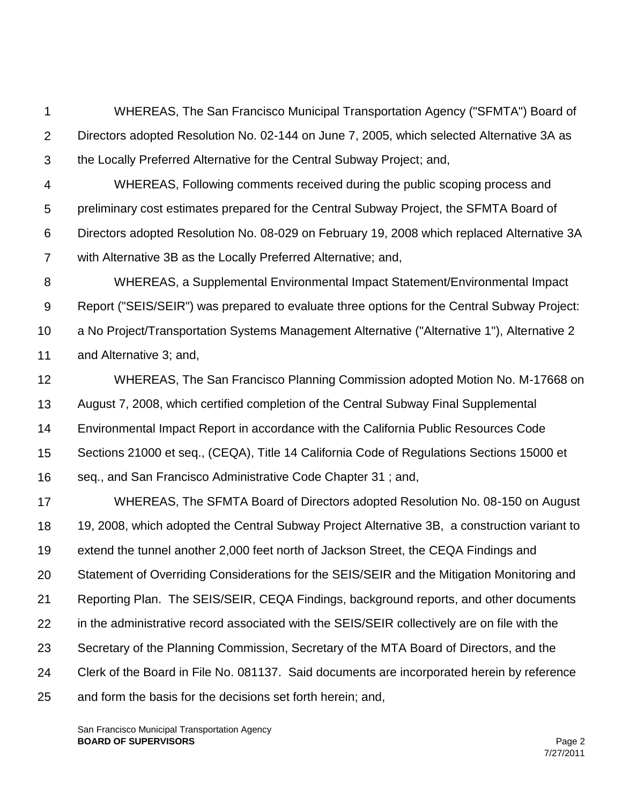1 2 3 WHEREAS, The San Francisco Municipal Transportation Agency ("SFMTA") Board of Directors adopted Resolution No. 02-144 on June 7, 2005, which selected Alternative 3A as the Locally Preferred Alternative for the Central Subway Project; and,

4 5 6 7 WHEREAS, Following comments received during the public scoping process and preliminary cost estimates prepared for the Central Subway Project, the SFMTA Board of Directors adopted Resolution No. 08-029 on February 19, 2008 which replaced Alternative 3A with Alternative 3B as the Locally Preferred Alternative; and,

8 9 10 11 WHEREAS, a Supplemental Environmental Impact Statement/Environmental Impact Report ("SEIS/SEIR") was prepared to evaluate three options for the Central Subway Project: a No Project/Transportation Systems Management Alternative ("Alternative 1"), Alternative 2 and Alternative 3; and,

12 13 14 15 16 WHEREAS, The San Francisco Planning Commission adopted Motion No. M-17668 on August 7, 2008, which certified completion of the Central Subway Final Supplemental Environmental Impact Report in accordance with the California Public Resources Code Sections 21000 et seq., (CEQA), Title 14 California Code of Regulations Sections 15000 et seq., and San Francisco Administrative Code Chapter 31 ; and,

17 18 19 20 21 22 23 24 25 WHEREAS, The SFMTA Board of Directors adopted Resolution No. 08-150 on August 19, 2008, which adopted the Central Subway Project Alternative 3B, a construction variant to extend the tunnel another 2,000 feet north of Jackson Street, the CEQA Findings and Statement of Overriding Considerations for the SEIS/SEIR and the Mitigation Monitoring and Reporting Plan. The SEIS/SEIR, CEQA Findings, background reports, and other documents in the administrative record associated with the SEIS/SEIR collectively are on file with the Secretary of the Planning Commission, Secretary of the MTA Board of Directors, and the Clerk of the Board in File No. 081137. Said documents are incorporated herein by reference and form the basis for the decisions set forth herein; and,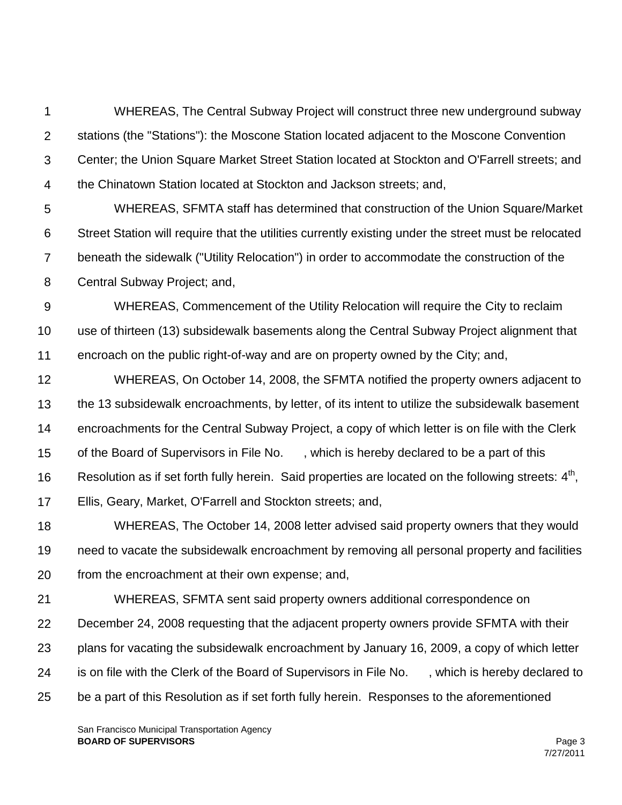1 2 3 4 WHEREAS, The Central Subway Project will construct three new underground subway stations (the "Stations"): the Moscone Station located adjacent to the Moscone Convention Center; the Union Square Market Street Station located at Stockton and O'Farrell streets; and the Chinatown Station located at Stockton and Jackson streets; and,

5 6 7 8 WHEREAS, SFMTA staff has determined that construction of the Union Square/Market Street Station will require that the utilities currently existing under the street must be relocated beneath the sidewalk ("Utility Relocation") in order to accommodate the construction of the Central Subway Project; and,

9 10 11 WHEREAS, Commencement of the Utility Relocation will require the City to reclaim use of thirteen (13) subsidewalk basements along the Central Subway Project alignment that encroach on the public right-of-way and are on property owned by the City; and,

12 13 14 15 16 17 WHEREAS, On October 14, 2008, the SFMTA notified the property owners adjacent to the 13 subsidewalk encroachments, by letter, of its intent to utilize the subsidewalk basement encroachments for the Central Subway Project, a copy of which letter is on file with the Clerk of the Board of Supervisors in File No. , which is hereby declared to be a part of this Resolution as if set forth fully herein. Said properties are located on the following streets:  $4<sup>th</sup>$ , Ellis, Geary, Market, O'Farrell and Stockton streets; and,

18 19 20 WHEREAS, The October 14, 2008 letter advised said property owners that they would need to vacate the subsidewalk encroachment by removing all personal property and facilities from the encroachment at their own expense; and,

21 22 23 24 25 WHEREAS, SFMTA sent said property owners additional correspondence on December 24, 2008 requesting that the adjacent property owners provide SFMTA with their plans for vacating the subsidewalk encroachment by January 16, 2009, a copy of which letter is on file with the Clerk of the Board of Supervisors in File No. , which is hereby declared to be a part of this Resolution as if set forth fully herein. Responses to the aforementioned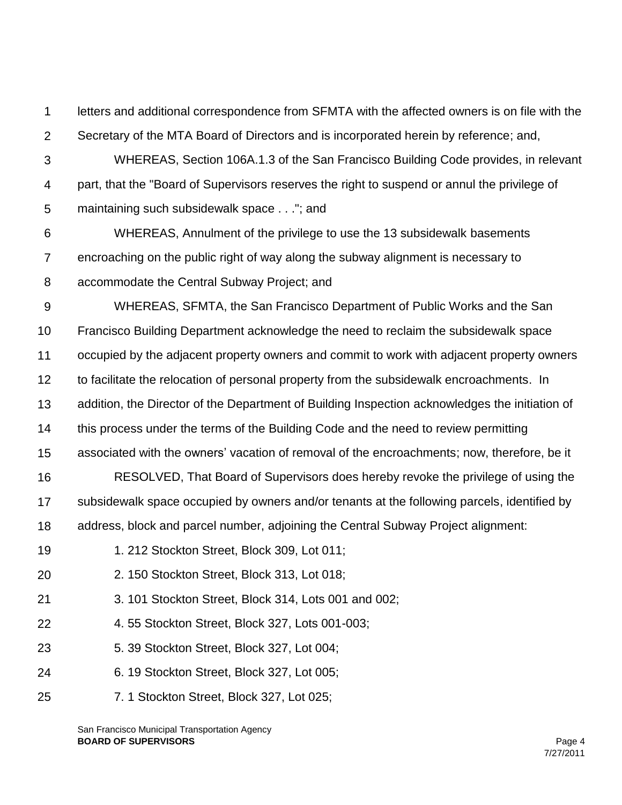1 2 letters and additional correspondence from SFMTA with the affected owners is on file with the Secretary of the MTA Board of Directors and is incorporated herein by reference; and,

3 4 5 WHEREAS, Section 106A.1.3 of the San Francisco Building Code provides, in relevant part, that the "Board of Supervisors reserves the right to suspend or annul the privilege of maintaining such subsidewalk space . . ."; and

6 7 8 WHEREAS, Annulment of the privilege to use the 13 subsidewalk basements encroaching on the public right of way along the subway alignment is necessary to accommodate the Central Subway Project; and

9 WHEREAS, SFMTA, the San Francisco Department of Public Works and the San

10 Francisco Building Department acknowledge the need to reclaim the subsidewalk space

11 occupied by the adjacent property owners and commit to work with adjacent property owners

12 to facilitate the relocation of personal property from the subsidewalk encroachments. In

13 addition, the Director of the Department of Building Inspection acknowledges the initiation of

14 this process under the terms of the Building Code and the need to review permitting

15 associated with the owners' vacation of removal of the encroachments; now, therefore, be it

16 17 18 RESOLVED, That Board of Supervisors does hereby revoke the privilege of using the subsidewalk space occupied by owners and/or tenants at the following parcels, identified by address, block and parcel number, adjoining the Central Subway Project alignment:

- 19 1. 212 Stockton Street, Block 309, Lot 011;
- 20 2. 150 Stockton Street, Block 313, Lot 018;
- 21 3. 101 Stockton Street, Block 314, Lots 001 and 002;
- 22 4. 55 Stockton Street, Block 327, Lots 001-003;
- 23 5. 39 Stockton Street, Block 327, Lot 004;
- 24 6. 19 Stockton Street, Block 327, Lot 005;
- 25 7. 1 Stockton Street, Block 327, Lot 025;